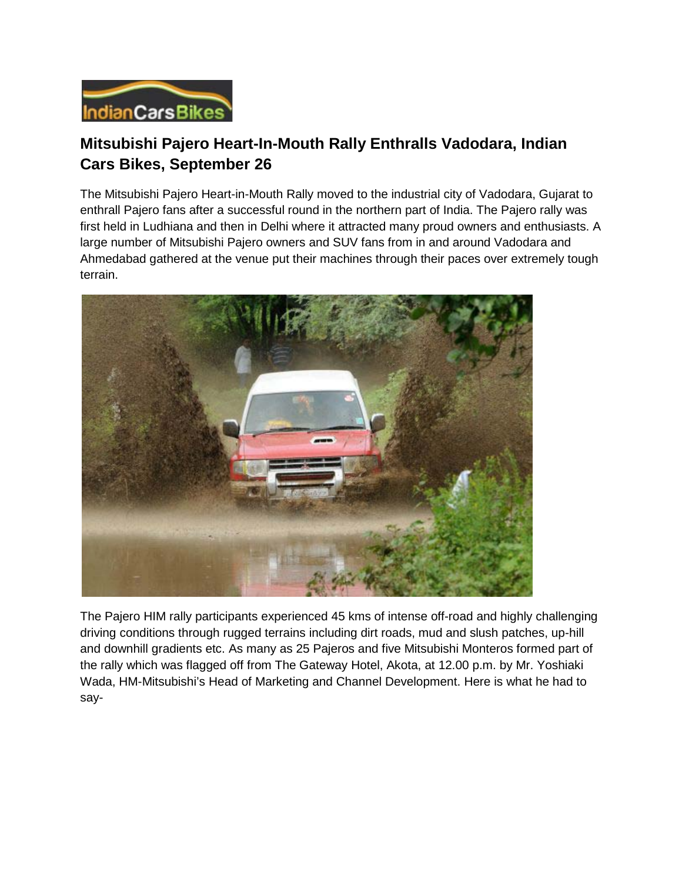

## **Mitsubishi Pajero Heart-In-Mouth Rally Enthralls Vadodara, Indian Cars Bikes, September 26**

The Mitsubishi Pajero Heart-in-Mouth Rally moved to the industrial city of Vadodara, Gujarat to enthrall Pajero fans after a successful round in the northern part of India. The Pajero rally was first held in Ludhiana and then in Delhi where it attracted many proud owners and enthusiasts. A large number of Mitsubishi Pajero owners and SUV fans from in and around Vadodara and Ahmedabad gathered at the venue put their machines through their paces over extremely tough terrain.



The Pajero HIM rally participants experienced 45 kms of intense off-road and highly challenging driving conditions through rugged terrains including dirt roads, mud and slush patches, up-hill and downhill gradients etc. As many as 25 Pajeros and five Mitsubishi Monteros formed part of the rally which was flagged off from The Gateway Hotel, Akota, at 12.00 p.m. by Mr. Yoshiaki Wada, HM-Mitsubishi's Head of Marketing and Channel Development. Here is what he had to say-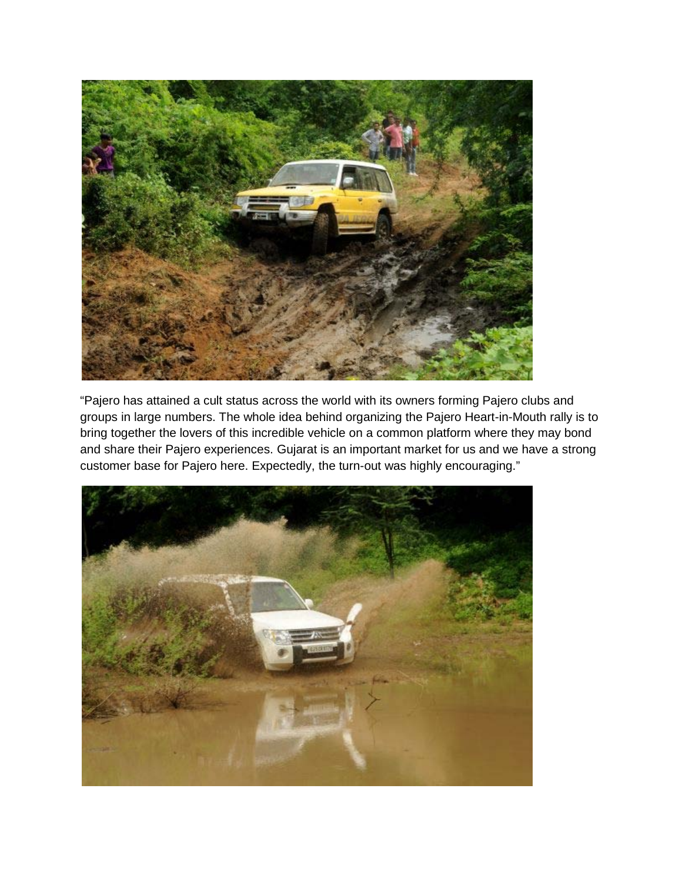

"Pajero has attained a cult status across the world with its owners forming Pajero clubs and groups in large numbers. The whole idea behind organizing the Pajero Heart-in-Mouth rally is to bring together the lovers of this incredible vehicle on a common platform where they may bond and share their Pajero experiences. Gujarat is an important market for us and we have a strong customer base for Pajero here. Expectedly, the turn-out was highly encouraging."